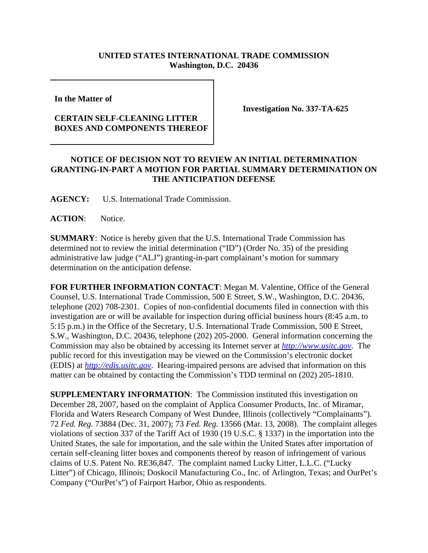## **UNITED STATES INTERNATIONAL TRADE COMMISSION Washington, D.C. 20436**

**In the Matter of** 

## **CERTAIN SELF-CLEANING LITTER BOXES AND COMPONENTS THEREOF**

**Investigation No. 337-TA-625**

## **NOTICE OF DECISION NOT TO REVIEW AN INITIAL DETERMINATION GRANTING-IN-PART A MOTION FOR PARTIAL SUMMARY DETERMINATION ON THE ANTICIPATION DEFENSE**

**AGENCY:** U.S. International Trade Commission.

**ACTION**: Notice.

**SUMMARY**: Notice is hereby given that the U.S. International Trade Commission has determined not to review the initial determination ("ID") (Order No. 35) of the presiding administrative law judge ("ALJ") granting-in-part complainant's motion for summary determination on the anticipation defense.

**FOR FURTHER INFORMATION CONTACT**: Megan M. Valentine, Office of the General Counsel, U.S. International Trade Commission, 500 E Street, S.W., Washington, D.C. 20436, telephone (202) 708-2301. Copies of non-confidential documents filed in connection with this investigation are or will be available for inspection during official business hours (8:45 a.m. to 5:15 p.m.) in the Office of the Secretary, U.S. International Trade Commission, 500 E Street, S.W., Washington, D.C. 20436, telephone (202) 205-2000. General information concerning the Commission may also be obtained by accessing its Internet server at *http://www.usitc.gov*. The public record for this investigation may be viewed on the Commission's electronic docket (EDIS) at *http://edis.usitc.gov*. Hearing-impaired persons are advised that information on this matter can be obtained by contacting the Commission's TDD terminal on (202) 205-1810.

**SUPPLEMENTARY INFORMATION:** The Commission instituted this investigation on December 28, 2007, based on the complaint of Applica Consumer Products, Inc. of Miramar, Florida and Waters Research Company of West Dundee, Illinois (collectively "Complainants"). 72 *Fed. Reg.* 73884 (Dec. 31, 2007); 73 *Fed. Reg.* 13566 (Mar. 13, 2008). The complaint alleges violations of section 337 of the Tariff Act of 1930 (19 U.S.C. § 1337) in the importation into the United States, the sale for importation, and the sale within the United States after importation of certain self-cleaning litter boxes and components thereof by reason of infringement of various claims of U.S. Patent No. RE36,847. The complaint named Lucky Litter, L.L.C. ("Lucky Litter") of Chicago, Illinois; Doskocil Manufacturing Co., Inc. of Arlington, Texas; and OurPet's Company ("OurPet's") of Fairport Harbor, Ohio as respondents.